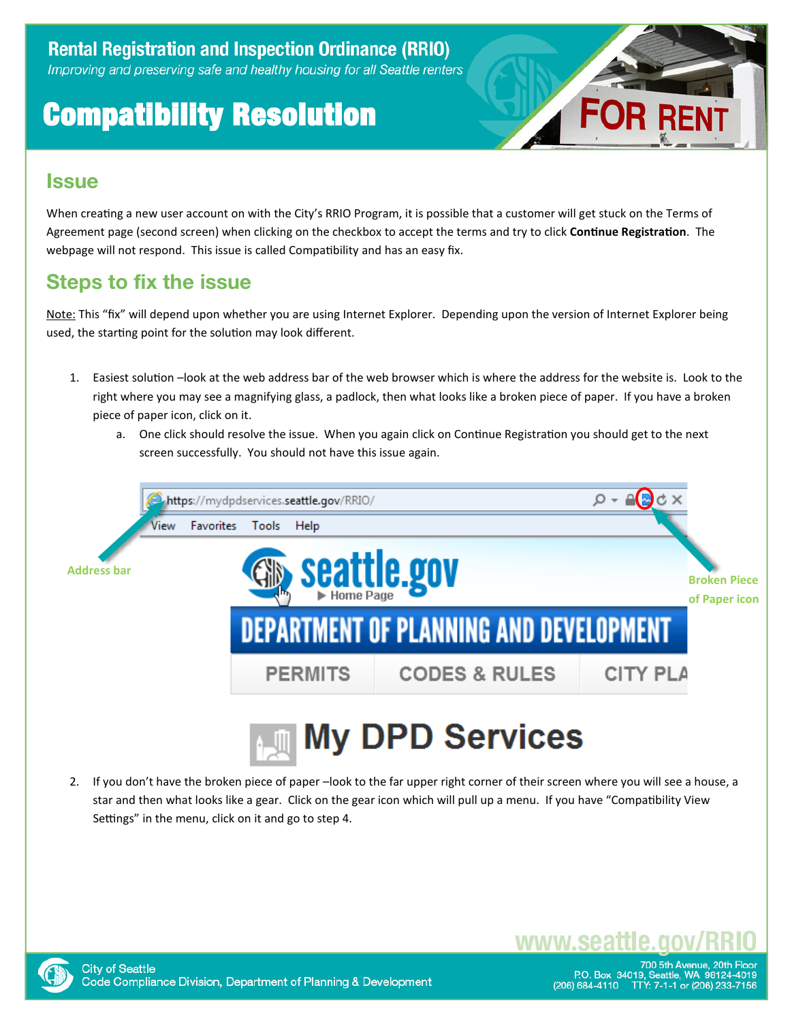# Compatibility Resolution



#### **Issue**

When creating a new user account on with the City's RRIO Program, it is possible that a customer will get stuck on the Terms of Agreement page (second screen) when clicking on the checkbox to accept the terms and try to click **Continue Registrati**. The webpage will not respond. This issue is called Compatibility and has an easy fix.

### **Steps to fix the issue**

Note: This "fix" will depend upon whether you are using Internet Explorer. Depending upon the version of Internet Explorer being used, the starting point for the solution may look different.

- Easiest solution –look at the web address bar of the web browser which is where the address for the website is. Look to the right where you may see a magnifying glass, a padlock, then what looks like a broken piece of paper. If you have a broken piece of paper icon, click on it.
	- a. One click should resolve the issue. When you again click on Continue Registration you should get to the next screen successfully. You should not have this issue again.



2. If youdon't have the broken piece of paper –look to the far upper right corner of their screen where youwill see a house, a star and then what looks like a gear. Click on the gear icon which will pull up a menu. If you have "Compatibility View Settings" in the menu, click on it and go to step 4.



700 5th Avenue. 20th Fl P.O. Box 34019, Seattle, WA 98124-4019<br>684-4110 TTY: 7-1-1 or (206) 233-7156 (206) 684-4110

www.sea1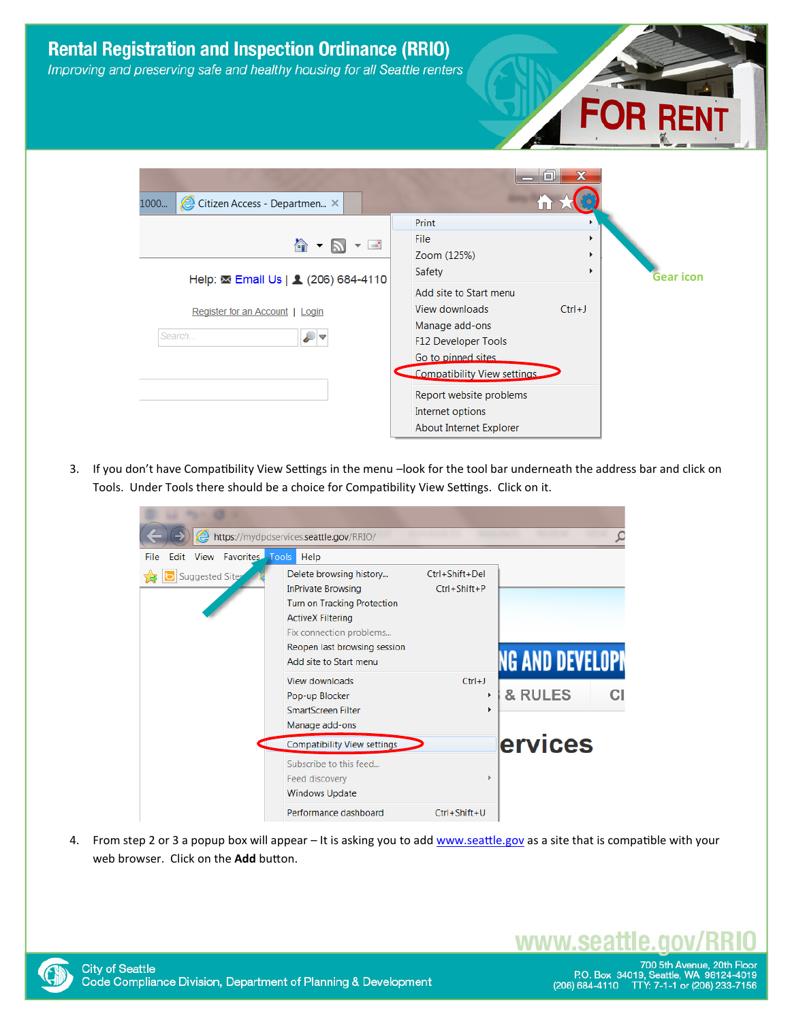

3. If you don't have Compatibility View Settings in the menu -look for the tool bar underneath the address bar and click on Tools. Under Tools there should be a choice for Compatibility View Settings. Click on it.

|                                                              | https://mydpdservices.seattle.gov/RRIO/                                                                                                                                                              |                                      |                        |
|--------------------------------------------------------------|------------------------------------------------------------------------------------------------------------------------------------------------------------------------------------------------------|--------------------------------------|------------------------|
| <b>Favorites Tools</b><br><b>View</b><br>File<br><b>Fdit</b> | Help                                                                                                                                                                                                 |                                      |                        |
| Suggested Sites                                              | Delete browsing history<br><b>InPrivate Browsing</b><br>Turn on Tracking Protection<br><b>ActiveX Filtering</b><br>Fix connection problems<br>Reopen last browsing session<br>Add site to Start menu | Ctrl+Shift+Del<br>$Ctrl + Shift + P$ | <b>NG AND DEVELOPI</b> |
|                                                              | View downloads<br>Pop-up Blocker<br>SmartScreen Filter<br>Manage add-ons                                                                                                                             | $Ctrl + J$<br>k                      | & RULES                |
|                                                              | <b>Compatibility View settings</b>                                                                                                                                                                   |                                      | <b>ervices</b>         |
|                                                              | Subscribe to this feed<br>Feed discovery<br><b>Windows Update</b>                                                                                                                                    |                                      |                        |
|                                                              | Performance dashboard                                                                                                                                                                                | Ctrl+Shift+U                         |                        |

4. From step 2 or 3 a popup box will appear – It is asking you to ad[d www.seattle.go](http://www.seattle.gov/)v as a site that is compatible with your web browser. Click on the **Add** button



www.sea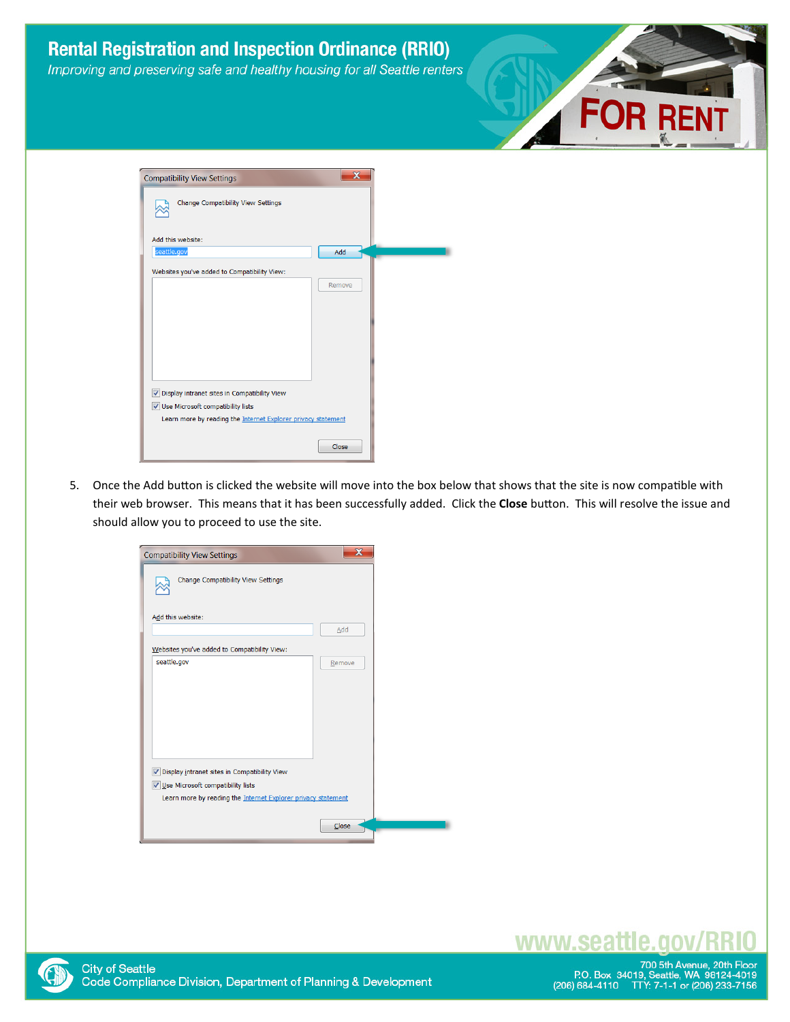

5. Once the Add button is clicked the website will move into the box below that shows that the site is now compatible with their web browser. This means that it has been successfully added. Click the Close button. This will resolve the issue and should allow you to proceed to use the site.

Close

| <b>Compatibility View Settings</b>                            | $\mathbf x$ |  |
|---------------------------------------------------------------|-------------|--|
| Change Compatibility View Settings                            |             |  |
| Add this website:                                             |             |  |
|                                                               | Add         |  |
| Websites you've added to Compatibility View:                  |             |  |
| seattle.gov                                                   | Remove      |  |
| V Display intranet sites in Compatibility View                |             |  |
| V Use Microsoft compatibility lists                           |             |  |
| Learn more by reading the Internet Explorer privacy statement |             |  |
|                                                               | Close       |  |



## www.seattle.gov